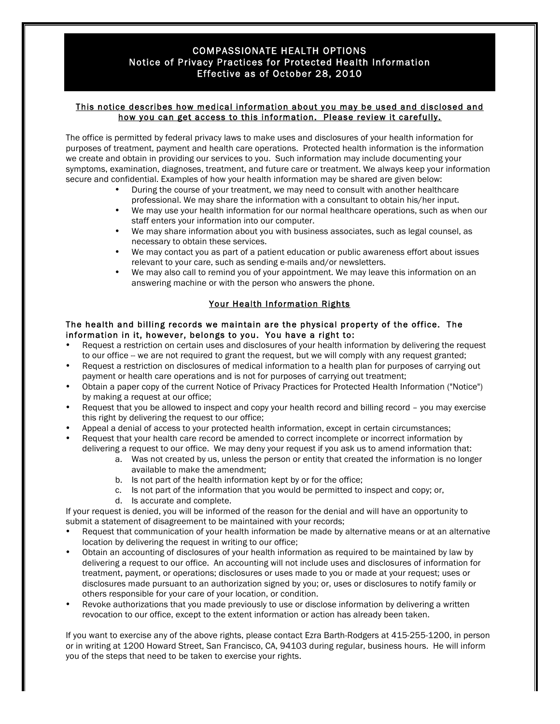### COMPASSIONATE HEALTH OPTIONS Notice of Privacy Practices for Protected Health Information Effective as of October 28, 2010

#### This notice describes how medical information about you may be used and disclosed and how you can get access to this information. Please review it carefully.

The office is permitted by federal privacy laws to make uses and disclosures of your health information for purposes of treatment, payment and health care operations. Protected health information is the information we create and obtain in providing our services to you. Such information may include documenting your symptoms, examination, diagnoses, treatment, and future care or treatment. We always keep your information secure and confidential. Examples of how your health information may be shared are given below:

- During the course of your treatment, we may need to consult with another healthcare professional. We may share the information with a consultant to obtain his/her input.
- We may use your health information for our normal healthcare operations, such as when our staff enters your information into our computer.
- We may share information about you with business associates, such as legal counsel, as necessary to obtain these services.
- We may contact you as part of a patient education or public awareness effort about issues relevant to your care, such as sending e-mails and/or newsletters.
- We may also call to remind you of your appointment. We may leave this information on an answering machine or with the person who answers the phone.

### Your Health Information Rights

#### The health and billing records we maintain are the physical property of the office. The information in it, however, belongs to you. You have a right to:

- Request a restriction on certain uses and disclosures of your health information by delivering the request to our office -- we are not required to grant the request, but we will comply with any request granted;
- Request a restriction on disclosures of medical information to a health plan for purposes of carrying out payment or health care operations and is not for purposes of carrying out treatment;
- Obtain a paper copy of the current Notice of Privacy Practices for Protected Health Information ("Notice") by making a request at our office;
- Request that you be allowed to inspect and copy your health record and billing record you may exercise this right by delivering the request to our office;
- Appeal a denial of access to your protected health information, except in certain circumstances;
- Request that your health care record be amended to correct incomplete or incorrect information by delivering a request to our office. We may deny your request if you ask us to amend information that:
	- a. Was not created by us, unless the person or entity that created the information is no longer available to make the amendment;
	- b. Is not part of the health information kept by or for the office;
	- c. Is not part of the information that you would be permitted to inspect and copy; or,
	- d. Is accurate and complete.

If your request is denied, you will be informed of the reason for the denial and will have an opportunity to submit a statement of disagreement to be maintained with your records;

- Request that communication of your health information be made by alternative means or at an alternative location by delivering the request in writing to our office;
- Obtain an accounting of disclosures of your health information as required to be maintained by law by delivering a request to our office. An accounting will not include uses and disclosures of information for treatment, payment, or operations; disclosures or uses made to you or made at your request; uses or disclosures made pursuant to an authorization signed by you; or, uses or disclosures to notify family or others responsible for your care of your location, or condition.
- Revoke authorizations that you made previously to use or disclose information by delivering a written revocation to our office, except to the extent information or action has already been taken.

If you want to exercise any of the above rights, please contact Ezra Barth-Rodgers at 415-255-1200, in person or in writing at 1200 Howard Street, San Francisco, CA, 94103 during regular, business hours. He will inform you of the steps that need to be taken to exercise your rights.